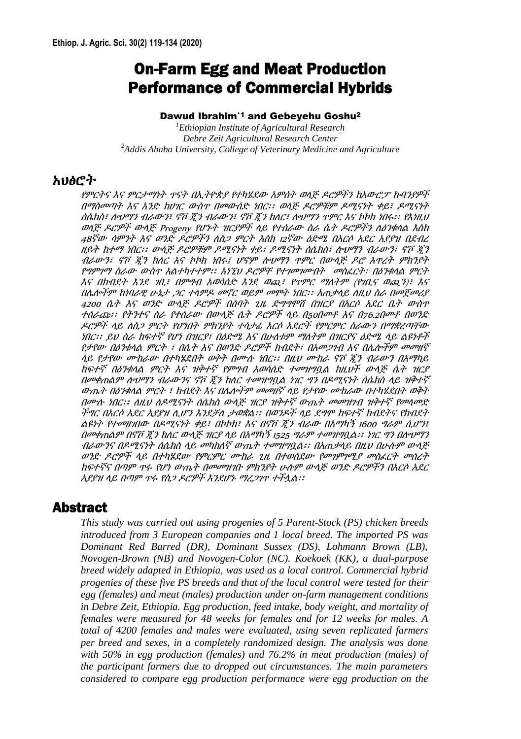# On-Farm Egg and Meat Production Performance of Commercial Hybrids

#### Dawud Ibrahim\*1 and Gebeyehu Goshu<sup>2</sup>

*<sup>1</sup>Ethiopian Institute of Agricultural Research Debre Zeit Agricultural Research Center <sup>2</sup>Addis Ababa University, College of Veterinary Medicine and Agriculture*

### አህፅሮት

የምርትና እና ምርታማነት ጥናት በኢትዮጵያ የተካሄደው አምሰት ወላጅ ዶሮዎችን ከአውሮፓ ኩባንያዎች በማስመጣት እና አንድ ከሀገር ውስጥ በመውሰድ ነበር፡፡ ወላጅ ዶሮዎቹም ዶሚናነት ቀይ፣ ዶሚናነት ሰሴክስ፣ ሎህማን ብራውን፣ ኖቮ ጂን ብራውን፣ ኖቮ ጂን ከለር፣ ሎህማን ጥምር እና ኮኮክ ነበሩ፡፡ የእነዚህ ወላጅ ዶሮዎች ውላጅ Progeny የሆኑት ዝርያዎች ላይ የተሰራው ስራ ሴት ዶሮዎችን ለዕንቁላል እስከ 48ኛው ሳምንት እና ወንድ ዶሮዎችን ለስጋ ምርት እስከ <sup>12</sup>ኛው ዕድሜ በአርሶ አደር አያያዝ በደብረ ዘይት ከተማ ነበር፡፡ ውላጅ ዶሮዎቹም ዶሚናነት ቀይ፣ ዶሚናነት ሰሴክስ፣ ሎህማን ብራውን፣ ኖቮ ጂን ብራውን፣ ኖቮ ጂን ከለር እና ኮኮክ ነበሩ፤ ሆኖም ሎህማን ጥምር በውላጅ ዶሮ እጥረት ምክንያት የግምገማ ስራው ውስጥ አልተካተተም፡፡ አነኚህ ዶሮዎቸ የተገመገሙበት መስፈርት፡ በዕንቁላል ምርት እና በክብደት እንደ ገቢ፣ በምግብ አወሳሰድ እንደ ወጪ፣ የጥምር ማለትም (የገቢና ወጪን)፣ እና በሌሎችም ከነባራዊ ሁኔታ ጋር ተላምዶ መኖር ወይም መሞት ነበር፡፡ አጠቃላይ ለዚህ ስራ በመጀመሪያ <sup>4200</sup>ሴት እና ወንድ ውላጅ ዶሮዎች በሰባት ጊዜ ድግግሞሽ በዝርያ በአርሶ አደር ቤት ውስጥ ተሰራጩ፡፡ የትንተና ስራ የተሰራው በውላጅ ሴት ዶሮዎች ላይ በ50በመቶ እና በ76.2በመቶ በወንድ ዶሮዎች ላይ ለስጋ ምርት የሆነበት ምክንያት ተሳታፊ አርሶ አደሮች የምርምር ስራውን በማቋረጣቸው ነበር፡፡ ይህ ስራ ከፍተኛ የሆነ በዝርያ፣ በዕድሜ እና በሁለቱም ማለትም በዝርያና ዕድሜ ላይ ልዩነቶች የታየው በዕንቁላል ምርት ፣ በሴት እና በወንድ ዶሮዎች ክብደት፣ በአመጋገብ እና በሌሎችም መመዘኛ ላይ የታየው ሙከራው በተካሄደበት ወቅት በሙሉ ነበር፡፡ በዚህ ሙከራ ኖቮ ጂን ብራውን በአማካይ ከፍተኛ በዕንቁላል ምርት እና ዝቅተኛ የምግብ አወሳሰድ ተመዝግቧል ከዚህች ውላጅ ሴት ዝርያ በመቀጠልም ሎህማን ብራውንና ኖቮ ጂን ከለር ተመዝግቧል ነገር ግን በዶሚናነት ሰሴክስ ላይ ዝቅተኛ ውጤት በዕንቁላል ምርት ፣ ክብደት እና በሌሎችም መመዘኛ ላይ የታየው ሙከራው በተካሄደበት ወቅት በሙሉ ነበር፡፡ ለዚህ ለዶሚናነት ሰሴክስ ውላጅ ዝርያ ዝቅተኛ ውጤት መመዝገብ ዝቅተኛ የመላመድ ችግር በአርሶ አደር አያያዝ ሊሆን እንደቻለ ታወቋል፡፡ በወንዶች ላይ ደግሞ ከፍተኛ ክብደትና የክብደት ልዩነት የተመዘገበው በዶሚናነት ቀይ፣ በኮኮክ፣ እና በኖቮ ጂን ብራው በአማካኝ <sup>1600</sup>ግራም ሲሆን፤ በመቀጠልም በኖቮ ጂን ከለር ውላጅ ዝርያ ላይ በአማካኝ <sup>1525</sup>ግራም ተመዝግቧል፡፡ ነገር ግን በሎህማን ብራውንና በዶሚናነት ሰሴክስ ላይ መካከለኛ ውጤት ተመዝግቧል፡፡ በአጠቃላይ በዚህ በሁሉም ውላጅ ወንድ ዶሮዎች ላይ በተካሄደው የምርምር ሙከራ ጊዜ በተወሰደው የመገምገሚያ መስፈርት መሰረት ከፍተኛና በጣም ጥሩ የሆነ ውጤት በመመዝገቡ ምክንያት ሁሉም ውላጅ ወንድ ዶሮዎችን በአርሶ አደር አያያዝ ላይ በጣም ጥሩ የስጋ ዶሮዎች እንደሆኑ ማረጋገጥ ተችሏል፡፡

#### Abstract

*This study was carried out using progenies of 5 Parent-Stock (PS) chicken breeds introduced from 3 European companies and 1 local breed. The imported PS was Dominant Red Barred (DR), Dominant Sussex (DS), Lohmann Brown (LB), Novogen-Brown (NB) and Novogen-Color (NC). Koekoek (KK), a dual-purpose breed widely adapted in Ethiopia, was used as a local control. Commercial hybrid progenies of these five PS breeds and that of the local control were tested for their egg (females) and meat (males) production under on-farm management conditions in Debre Zeit, Ethiopia. Egg production, feed intake, body weight, and mortality of females were measured for 48 weeks for females and for 12 weeks for males. A total of 4200 females and males were evaluated, using seven replicated farmers per breed and sexes, in a completely randomized design. The analysis was done with 50% in egg production (females) and 76.2% in meat production (males) of the participant farmers due to dropped out circumstances. The main parameters considered to compare egg production performance were egg production on the*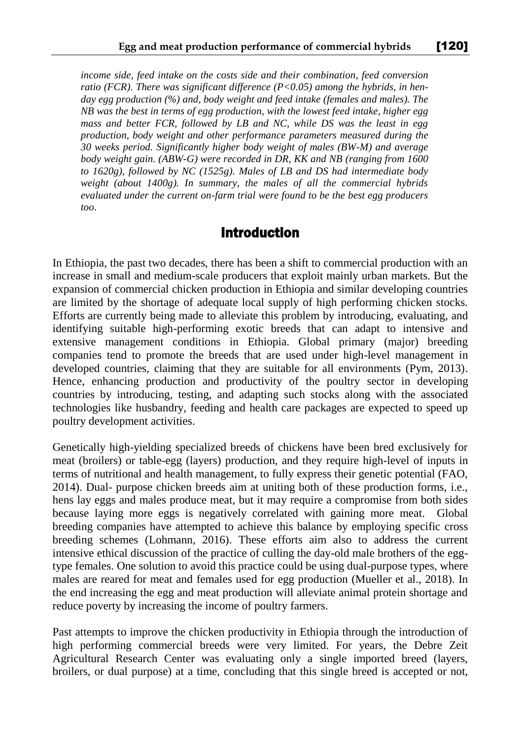*income side, feed intake on the costs side and their combination, feed conversion ratio (FCR). There was significant difference (P<0.05) among the hybrids, in henday egg production (%) and, body weight and feed intake (females and males). The NB was the best in terms of egg production, with the lowest feed intake, higher egg mass and better FCR, followed by LB and NC, while DS was the least in egg production, body weight and other performance parameters measured during the 30 weeks period. Significantly higher body weight of males (BW-M) and average body weight gain. (ABW-G) were recorded in DR, KK and NB (ranging from 1600 to 1620g), followed by NC (1525g). Males of LB and DS had intermediate body weight (about 1400g). In summary, the males of all the commercial hybrids evaluated under the current on-farm trial were found to be the best egg producers too.* 

#### Introduction

In Ethiopia, the past two decades, there has been a shift to commercial production with an increase in small and medium-scale producers that exploit mainly urban markets. But the expansion of commercial chicken production in Ethiopia and similar developing countries are limited by the shortage of adequate local supply of high performing chicken stocks. Efforts are currently being made to alleviate this problem by introducing, evaluating, and identifying suitable high-performing exotic breeds that can adapt to intensive and extensive management conditions in Ethiopia. Global primary (major) breeding companies tend to promote the breeds that are used under high-level management in developed countries, claiming that they are suitable for all environments (Pym, 2013). Hence, enhancing production and productivity of the poultry sector in developing countries by introducing, testing, and adapting such stocks along with the associated technologies like husbandry, feeding and health care packages are expected to speed up poultry development activities.

Genetically high-yielding specialized breeds of chickens have been bred exclusively for meat (broilers) or table-egg (layers) production, and they require high-level of inputs in terms of nutritional and health management, to fully express their genetic potential (FAO, 2014). Dual- purpose chicken breeds aim at uniting both of these production forms, i.e., hens lay eggs and males produce meat, but it may require a compromise from both sides because laying more eggs is negatively correlated with gaining more meat. Global breeding companies have attempted to achieve this balance by employing specific cross breeding schemes (Lohmann, 2016). These efforts aim also to address the current intensive ethical discussion of the practice of culling the day-old male brothers of the eggtype females. One solution to avoid this practice could be using dual-purpose types, where males are reared for meat and females used for egg production (Mueller et al., 2018). In the end increasing the egg and meat production will alleviate animal protein shortage and reduce poverty by increasing the income of poultry farmers.

Past attempts to improve the chicken productivity in Ethiopia through the introduction of high performing commercial breeds were very limited. For years, the Debre Zeit Agricultural Research Center was evaluating only a single imported breed (layers, broilers, or dual purpose) at a time, concluding that this single breed is accepted or not,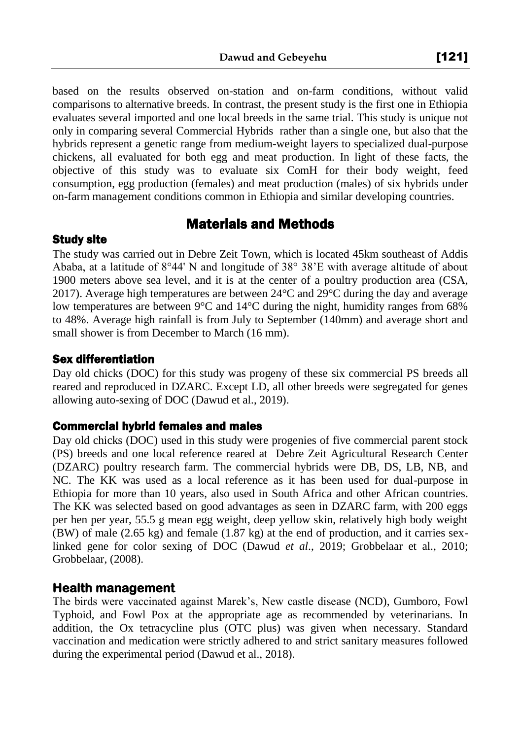based on the results observed on-station and on-farm conditions, without valid comparisons to alternative breeds. In contrast, the present study is the first one in Ethiopia evaluates several imported and one local breeds in the same trial. This study is unique not only in comparing several Commercial Hybrids rather than a single one, but also that the hybrids represent a genetic range from medium-weight layers to specialized dual-purpose chickens, all evaluated for both egg and meat production. In light of these facts, the objective of this study was to evaluate six ComH for their body weight, feed consumption, egg production (females) and meat production (males) of six hybrids under on-farm management conditions common in Ethiopia and similar developing countries.

## Materials and Methods

#### Study site

The study was carried out in Debre Zeit Town, which is located 45km southeast of Addis Ababa, at a latitude of  $8^{\circ}44'$  N and longitude of  $38^{\circ}$  38'E with average altitude of about 1900 meters above sea level, and it is at the center of a poultry production area (CSA, 2017). Average high temperatures are between 24°C and 29°C during the day and average low temperatures are between 9°C and 14°C during the night, humidity ranges from 68% to 48%. Average high rainfall is from July to September (140mm) and average short and small shower is from December to March (16 mm).

#### Sex differentiation

Day old chicks (DOC) for this study was progeny of these six commercial PS breeds all reared and reproduced in DZARC. Except LD, all other breeds were segregated for genes allowing auto-sexing of DOC (Dawud et al., 2019).

#### Commercial hybrid females and males

Day old chicks (DOC) used in this study were progenies of five commercial parent stock (PS) breeds and one local reference reared at Debre Zeit Agricultural Research Center (DZARC) poultry research farm. The commercial hybrids were DB, DS, LB, NB, and NC. The KK was used as a local reference as it has been used for dual-purpose in Ethiopia for more than 10 years, also used in South Africa and other African countries. The KK was selected based on good advantages as seen in DZARC farm, with 200 eggs per hen per year, 55.5 g mean egg weight, deep yellow skin, relatively high body weight (BW) of male (2.65 kg) and female (1.87 kg) at the end of production, and it carries sexlinked gene for color sexing of DOC (Dawud *et al*., 2019; Grobbelaar et al., 2010; Grobbelaar, (2008).

#### **Health management**

The birds were vaccinated against Marek's, New castle disease (NCD), Gumboro, Fowl Typhoid, and Fowl Pox at the appropriate age as recommended by veterinarians. In addition, the Ox tetracycline plus (OTC plus) was given when necessary. Standard vaccination and medication were strictly adhered to and strict sanitary measures followed during the experimental period (Dawud et al., 2018).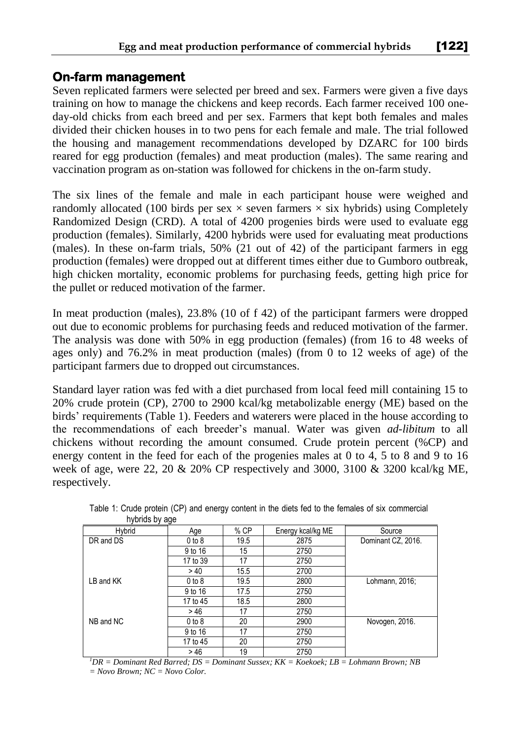#### **On-farm management**

Seven replicated farmers were selected per breed and sex. Farmers were given a five days training on how to manage the chickens and keep records. Each farmer received 100 oneday-old chicks from each breed and per sex. Farmers that kept both females and males divided their chicken houses in to two pens for each female and male. The trial followed the housing and management recommendations developed by DZARC for 100 birds reared for egg production (females) and meat production (males). The same rearing and vaccination program as on-station was followed for chickens in the on-farm study.

The six lines of the female and male in each participant house were weighed and randomly allocated (100 birds per sex  $\times$  seven farmers  $\times$  six hybrids) using Completely Randomized Design (CRD). A total of 4200 progenies birds were used to evaluate egg production (females). Similarly, 4200 hybrids were used for evaluating meat productions (males). In these on-farm trials, 50% (21 out of 42) of the participant farmers in egg production (females) were dropped out at different times either due to Gumboro outbreak, high chicken mortality, economic problems for purchasing feeds, getting high price for the pullet or reduced motivation of the farmer.

In meat production (males), 23.8% (10 of f 42) of the participant farmers were dropped out due to economic problems for purchasing feeds and reduced motivation of the farmer. The analysis was done with 50% in egg production (females) (from 16 to 48 weeks of ages only) and 76.2% in meat production (males) (from 0 to 12 weeks of age) of the participant farmers due to dropped out circumstances.

Standard layer ration was fed with a diet purchased from local feed mill containing 15 to 20% crude protein (CP), 2700 to 2900 kcal/kg metabolizable energy (ME) based on the birds' requirements (Table 1). Feeders and waterers were placed in the house according to the recommendations of each breeder's manual. Water was given *ad-libitum* to all chickens without recording the amount consumed. Crude protein percent (%CP) and energy content in the feed for each of the progenies males at 0 to 4, 5 to 8 and 9 to 16 week of age, were 22, 20 & 20% CP respectively and 3000, 3100 & 3200 kcal/kg ME, respectively.

| Hybrid    | Age        | % CP | Energy kcal/kg ME | Source             |
|-----------|------------|------|-------------------|--------------------|
| DR and DS | $0$ to $8$ | 19.5 | 2875              | Dominant CZ, 2016. |
|           | 9 to 16    | 15   | 2750              |                    |
|           | 17 to 39   | 17   | 2750              |                    |
|           | >40        | 15.5 | 2700              |                    |
| LB and KK | $0$ to $8$ | 19.5 | 2800              | Lohmann, 2016;     |
|           | 9 to 16    | 17.5 | 2750              |                    |
|           | 17 to 45   | 18.5 | 2800              |                    |
|           | >46        | 17   | 2750              |                    |
| NB and NC | $0$ to $8$ | 20   | 2900              | Novogen, 2016.     |
|           | 9 to 16    | 17   | 2750              |                    |
|           | 17 to 45   | 20   | 2750              |                    |
|           | >46        | 19   | 2750              |                    |

Table 1: Crude protein (CP) and energy content in the diets fed to the females of six commercial hybrids by age

*<sup>1</sup>DR = Dominant Red Barred; DS = Dominant Sussex; KK = Koekoek; LB = Lohmann Brown; NB = Novo Brown; NC = Novo Color.*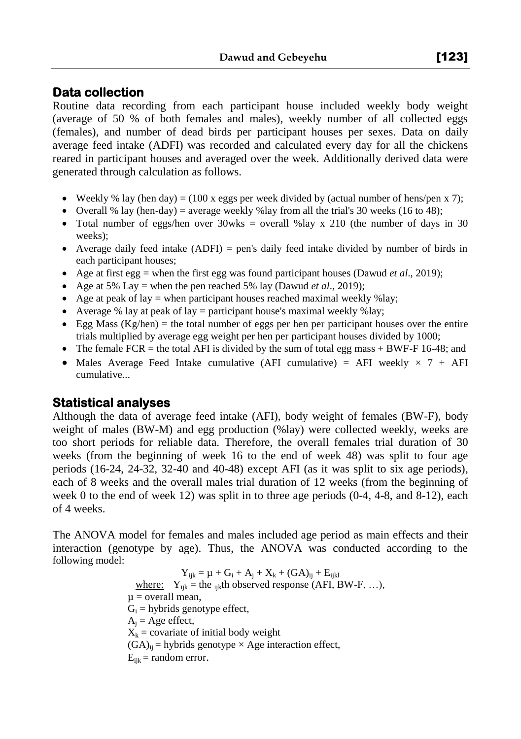### **Data collection**

Routine data recording from each participant house included weekly body weight (average of 50 % of both females and males), weekly number of all collected eggs (females), and number of dead birds per participant houses per sexes. Data on daily average feed intake (ADFI) was recorded and calculated every day for all the chickens reared in participant houses and averaged over the week. Additionally derived data were generated through calculation as follows.

- Weekly % lay (hen day) = (100 x eggs per week divided by (actual number of hens/pen x 7);
- Overall % lay (hen-day) = average weekly % lay from all the trial's 30 weeks (16 to 48);
- Total number of eggs/hen over 30wks = overall %lay x 210 (the number of days in 30 weeks);
- Average daily feed intake  $(ADFI)$  = pen's daily feed intake divided by number of birds in each participant houses;
- Age at first egg = when the first egg was found participant houses (Dawud *et al*., 2019);
- Age at 5% Lay = when the pen reached 5% lay (Dawud *et al.*, 2019);
- Age at peak of lay  $=$  when participant houses reached maximal weekly %lay;
- Average % lay at peak of lay = participant house's maximal weekly % lay;
- Egg Mass  $(Kg/hen)$  = the total number of eggs per hen per participant houses over the entire trials multiplied by average egg weight per hen per participant houses divided by 1000;
- The female FCR = the total AFI is divided by the sum of total egg mass  $+$  BWF-F 16-48; and
- Males Average Feed Intake cumulative (AFI cumulative) = AFI weekly  $\times$  7 + AFI cumulative...

#### **Statistical analyses**

Although the data of average feed intake (AFI), body weight of females (BW-F), body weight of males (BW-M) and egg production (%lay) were collected weekly, weeks are too short periods for reliable data. Therefore, the overall females trial duration of 30 weeks (from the beginning of week 16 to the end of week 48) was split to four age periods (16-24, 24-32, 32-40 and 40-48) except AFI (as it was split to six age periods), each of 8 weeks and the overall males trial duration of 12 weeks (from the beginning of week 0 to the end of week 12) was split in to three age periods  $(0-4, 4-8, 4-8)$ , each of 4 weeks.

The ANOVA model for females and males included age period as main effects and their interaction (genotype by age). Thus, the ANOVA was conducted according to the following model:

> $Y_{ijk} = \mu + G_i + A_j + X_k + (GA)_{ij} + E_{ijkl}$ where:  $Y_{ijk}$  = the <sub>ijk</sub>th observed response (AFI, BW-F, ...),  $\mu$  = overall mean,  $G_i$  = hybrids genotype effect,  $A_i$  = Age effect,  $X_k$  = covariate of initial body weight  $(GA)_{ii}$  = hybrids genotype  $\times$  Age interaction effect,  $E_{iik}$  = random error.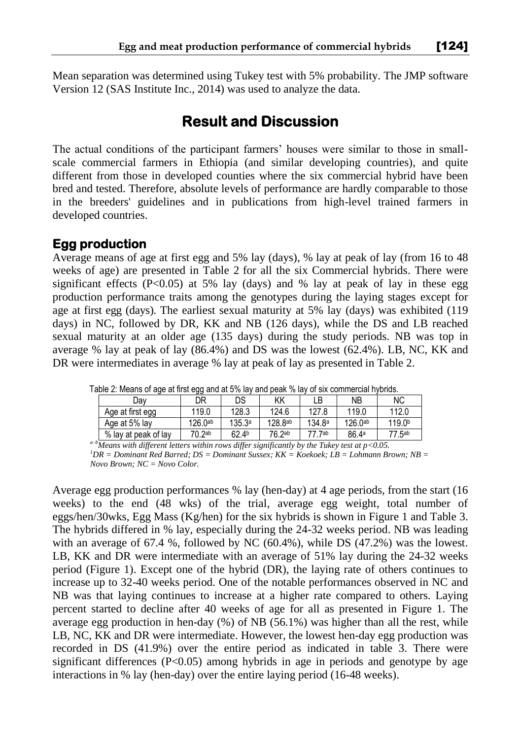Mean separation was determined using Tukey test with 5% probability. The JMP software Version 12 (SAS Institute Inc., 2014) was used to analyze the data.

# **Result and Discussion**

The actual conditions of the participant farmers' houses were similar to those in smallscale commercial farmers in Ethiopia (and similar developing countries), and quite different from those in developed counties where the six commercial hybrid have been bred and tested. Therefore, absolute levels of performance are hardly comparable to those in the breeders' guidelines and in publications from high-level trained farmers in developed countries.

#### **Egg production**

Average means of age at first egg and 5% lay (days), % lay at peak of lay (from 16 to 48 weeks of age) are presented in Table 2 for all the six Commercial hybrids. There were significant effects  $(P<0.05)$  at 5% lay (days) and % lay at peak of lay in these egg production performance traits among the genotypes during the laying stages except for age at first egg (days). The earliest sexual maturity at 5% lay (days) was exhibited (119 days) in NC, followed by DR, KK and NB (126 days), while the DS and LB reached sexual maturity at an older age (135 days) during the study periods. NB was top in average % lay at peak of lay (86.4%) and DS was the lowest (62.4%). LB, NC, KK and DR were intermediates in average % lay at peak of lay as presented in Table 2.

| able 2. Means of age at first egg and at 5% lay and peak % lay of six commercial hybrids. |                     |                   |                       |                    |              |                    |  |
|-------------------------------------------------------------------------------------------|---------------------|-------------------|-----------------------|--------------------|--------------|--------------------|--|
| Dav                                                                                       | DR                  | DS                | ΚK                    | LB                 | NΒ           | <b>NC</b>          |  |
| Age at first egg                                                                          | 119.0               | 128.3             | 124.6                 | 127.8              | 119.0        | 112.0              |  |
| Age at 5% lay                                                                             | 126.0 <sup>ab</sup> | 135.3a            | $128.8$ <sup>ab</sup> | 134.8 <sup>a</sup> | $126.0^{ab}$ | 119.0 <sup>b</sup> |  |
| % lay at peak of lay                                                                      | 70.2 <sup>ab</sup>  | 62.4 <sup>b</sup> | 76.2ab                | 77 7ab             | 86.4a        | 77.5ab             |  |

Table 2: Means of age at first egg and at 5% lay and peak % lay of six commercial hybrids.

*a–bMeans with different letters within rows differ significantly by the Tukey test at p<0.05. <sup>1</sup>DR = Dominant Red Barred; DS = Dominant Sussex; KK = Koekoek; LB = Lohmann Brown; NB =* 

*Novo Brown; NC = Novo Color.*

Average egg production performances % lay (hen-day) at 4 age periods, from the start (16 weeks) to the end (48 wks) of the trial, average egg weight, total number of eggs/hen/30wks, Egg Mass (Kg/hen) for the six hybrids is shown in Figure 1 and Table 3. The hybrids differed in % lay, especially during the 24-32 weeks period. NB was leading with an average of 67.4 %, followed by NC (60.4%), while DS (47.2%) was the lowest. LB, KK and DR were intermediate with an average of 51% lay during the 24-32 weeks period (Figure 1). Except one of the hybrid (DR), the laying rate of others continues to increase up to 32-40 weeks period. One of the notable performances observed in NC and NB was that laying continues to increase at a higher rate compared to others. Laying percent started to decline after 40 weeks of age for all as presented in Figure 1. The average egg production in hen-day  $(\%)$  of NB (56.1%) was higher than all the rest, while LB, NC, KK and DR were intermediate. However, the lowest hen-day egg production was recorded in DS (41.9%) over the entire period as indicated in table 3. There were significant differences  $(P<0.05)$  among hybrids in age in periods and genotype by age interactions in % lay (hen-day) over the entire laying period (16-48 weeks).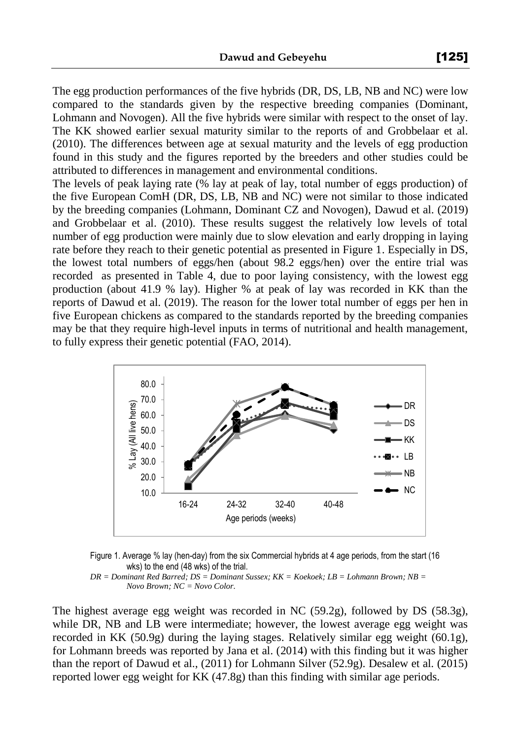The egg production performances of the five hybrids (DR, DS, LB, NB and NC) were low compared to the standards given by the respective breeding companies (Dominant, Lohmann and Novogen). All the five hybrids were similar with respect to the onset of lay. The KK showed earlier sexual maturity similar to the reports of and Grobbelaar et al. (2010). The differences between age at sexual maturity and the levels of egg production found in this study and the figures reported by the breeders and other studies could be attributed to differences in management and environmental conditions.

The levels of peak laying rate (% lay at peak of lay, total number of eggs production) of the five European ComH (DR, DS, LB, NB and NC) were not similar to those indicated by the breeding companies (Lohmann, Dominant CZ and Novogen), Dawud et al. (2019) and Grobbelaar et al. (2010). These results suggest the relatively low levels of total number of egg production were mainly due to slow elevation and early dropping in laying rate before they reach to their genetic potential as presented in Figure 1. Especially in DS, the lowest total numbers of eggs/hen (about 98.2 eggs/hen) over the entire trial was recorded as presented in Table 4, due to poor laying consistency, with the lowest egg production (about 41.9 % lay). Higher % at peak of lay was recorded in KK than the reports of Dawud et al. (2019). The reason for the lower total number of eggs per hen in five European chickens as compared to the standards reported by the breeding companies may be that they require high-level inputs in terms of nutritional and health management, to fully express their genetic potential (FAO, 2014).



Figure 1. Average % lay (hen-day) from the six Commercial hybrids at 4 age periods, from the start (16 wks) to the end (48 wks) of the trial.

*DR = Dominant Red Barred; DS = Dominant Sussex; KK = Koekoek; LB = Lohmann Brown; NB = Novo Brown; NC = Novo Color.*

The highest average egg weight was recorded in NC (59.2g), followed by DS (58.3g), while DR, NB and LB were intermediate; however, the lowest average egg weight was recorded in KK (50.9g) during the laying stages. Relatively similar egg weight (60.1g), for Lohmann breeds was reported by Jana et al. (2014) with this finding but it was higher than the report of Dawud et al., (2011) for Lohmann Silver (52.9g). Desalew et al. (2015) reported lower egg weight for KK (47.8g) than this finding with similar age periods.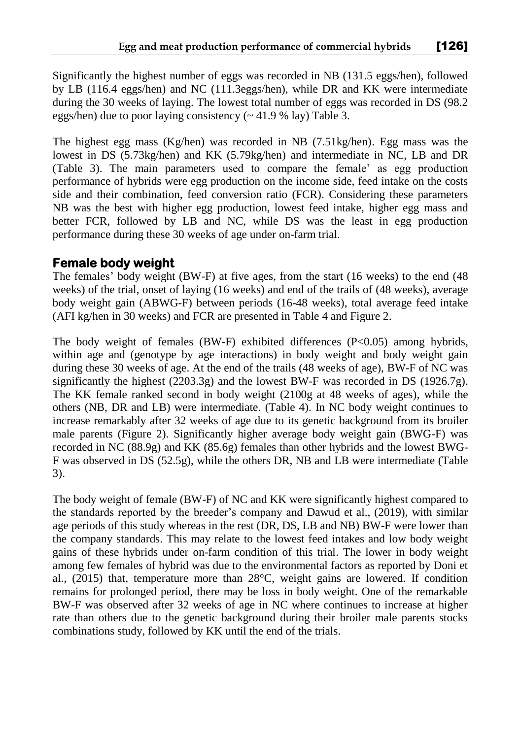Significantly the highest number of eggs was recorded in NB (131.5 eggs/hen), followed by LB (116.4 eggs/hen) and NC (111.3eggs/hen), while DR and KK were intermediate during the 30 weeks of laying. The lowest total number of eggs was recorded in DS (98.2 eggs/hen) due to poor laying consistency (~ 41.9 % lay) Table 3.

The highest egg mass (Kg/hen) was recorded in NB (7.51kg/hen). Egg mass was the lowest in DS (5.73kg/hen) and KK (5.79kg/hen) and intermediate in NC, LB and DR (Table 3). The main parameters used to compare the female' as egg production performance of hybrids were egg production on the income side, feed intake on the costs side and their combination, feed conversion ratio (FCR). Considering these parameters NB was the best with higher egg production, lowest feed intake, higher egg mass and better FCR, followed by LB and NC, while DS was the least in egg production performance during these 30 weeks of age under on-farm trial.

#### **Female body weight**

The females' body weight (BW-F) at five ages, from the start (16 weeks) to the end (48 weeks) of the trial, onset of laying (16 weeks) and end of the trails of (48 weeks), average body weight gain (ABWG-F) between periods (16-48 weeks), total average feed intake (AFI kg/hen in 30 weeks) and FCR are presented in Table 4 and Figure 2.

The body weight of females (BW-F) exhibited differences ( $P<0.05$ ) among hybrids, within age and (genotype by age interactions) in body weight and body weight gain during these 30 weeks of age. At the end of the trails (48 weeks of age), BW-F of NC was significantly the highest (2203.3g) and the lowest BW-F was recorded in DS (1926.7g). The KK female ranked second in body weight (2100g at 48 weeks of ages), while the others (NB, DR and LB) were intermediate. (Table 4). In NC body weight continues to increase remarkably after 32 weeks of age due to its genetic background from its broiler male parents (Figure 2). Significantly higher average body weight gain (BWG-F) was recorded in NC (88.9g) and KK (85.6g) females than other hybrids and the lowest BWG-F was observed in DS (52.5g), while the others DR, NB and LB were intermediate (Table 3).

The body weight of female (BW-F) of NC and KK were significantly highest compared to the standards reported by the breeder's company and Dawud et al., (2019), with similar age periods of this study whereas in the rest (DR, DS, LB and NB) BW-F were lower than the company standards. This may relate to the lowest feed intakes and low body weight gains of these hybrids under on-farm condition of this trial. The lower in body weight among few females of hybrid was due to the environmental factors as reported by Doni et al., (2015) that, temperature more than 28°C, weight gains are lowered. If condition remains for prolonged period, there may be loss in body weight. One of the remarkable BW-F was observed after 32 weeks of age in NC where continues to increase at higher rate than others due to the genetic background during their broiler male parents stocks combinations study, followed by KK until the end of the trials.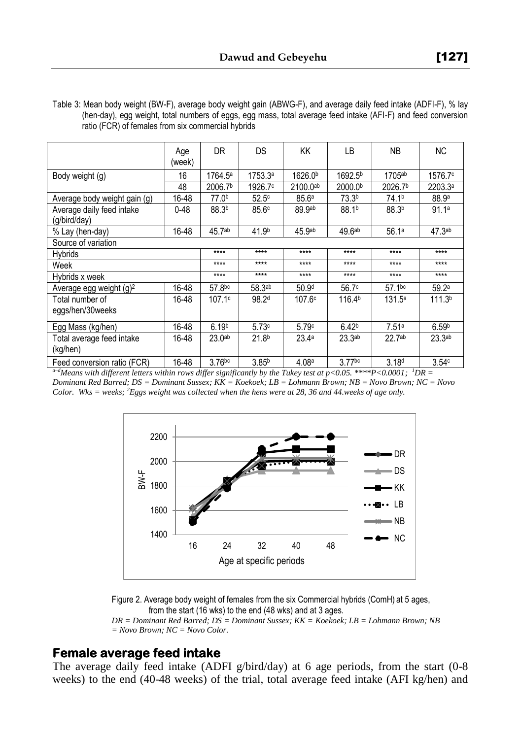Table 3: Mean body weight (BW-F), average body weight gain (ABWG-F), and average daily feed intake (ADFI-F), % lay (hen-day), egg weight, total numbers of eggs, egg mass, total average feed intake (AFI-F) and feed conversion ratio (FCR) of females from six commercial hybrids

|                                           | Age<br>(week) | <b>DR</b>           | DS                  | ΚK                  | LB                  | <b>NB</b>            | ΝC                 |
|-------------------------------------------|---------------|---------------------|---------------------|---------------------|---------------------|----------------------|--------------------|
| Body weight (g)                           | 16            | $1764.5^a$          | 1753.3a             | 1626.0 <sup>b</sup> | 1692.5 <sup>b</sup> | $1705$ <sup>ab</sup> | 1576.7°            |
|                                           | 48            | 2006.7 <sup>b</sup> | 1926.7 <sup>c</sup> | $2100.0^{ab}$       | 2000.0 <sup>b</sup> | 2026.7 <sup>b</sup>  | 2203.3a            |
| Average body weight gain (g)              | 16-48         | 77.0 <sup>b</sup>   | 52.5 <sup>c</sup>   | 85.6 <sup>a</sup>   | 73.3 <sup>b</sup>   | 74.1 <sup>b</sup>    | 88.9 <sup>a</sup>  |
| Average daily feed intake<br>(g/bird/day) | $0 - 48$      | 88.3b               | 85.6c               | 89.9ab              | 88.1 <sup>b</sup>   | 88.3 <sup>b</sup>    | 91.1a              |
| % Lay (hen-day)                           | 16-48         | 45.7 <sup>ab</sup>  | 41.9 <sup>b</sup>   | 45.9 <sub>ab</sub>  | 49.6ab              | 56.1a                | 47.3 <sup>ab</sup> |
| Source of variation                       |               |                     |                     |                     |                     |                      |                    |
| Hybrids                                   |               | $***$               | $****$              | ****                | $***$               | $***$                | $***$              |
| Week                                      |               | $***$               | $***$               | ****                | $***$               | $***$                | $***$              |
| Hybrids x week                            |               | $***$               | $****$              | ****                | $***$               | $****$               | $***$              |
| Average egg weight $(q)^2$                | 16-48         | 57.8bc              | 58.3ab              | 50.9 <sup>d</sup>   | 56.7c               | $57.1$ bc            | 59.2a              |
| Total number of                           | 16-48         | 107.1c              | 98.2 <sup>d</sup>   | 107.6c              | 116.4 <sup>b</sup>  | 131.5a               | 111.3 <sup>b</sup> |
| eggs/hen/30weeks                          |               |                     |                     |                     |                     |                      |                    |
| Egg Mass (kg/hen)                         | 16-48         | 6.19 <sup>b</sup>   | 5.73c               | 5.79c               | 6.42 <sup>b</sup>   | 7.51a                | 6.59 <sup>b</sup>  |
| Total average feed intake<br>(kg/hen)     | 16-48         | 23.0 <sup>ab</sup>  | 21.8 <sup>b</sup>   | 23.4a               | 23.3 <sup>ab</sup>  | 22.7 <sup>ab</sup>   | 23.3 <sub>ab</sub> |
| Feed conversion ratio (FCR)               | 16-48         | $3.76$ bc           | 3.85 <sup>b</sup>   | 4.08a               | $3.77$ bc           | 3.18 <sup>d</sup>    | 3.54c              |

*a–dMeans with different letters within rows differ significantly by the Tukey test at p<0.05. \*\*\*\*P<0.0001; <sup>1</sup>DR =* 

*Dominant Red Barred; DS = Dominant Sussex; KK = Koekoek; LB = Lohmann Brown; NB = Novo Brown; NC = Novo Color. Wks = weeks; <sup>2</sup>Eggs weight was collected when the hens were at 28, 36 and 44.weeks of age only.* 



Figure 2. Average body weight of females from the six Commercial hybrids (ComH) at 5 ages, from the start (16 wks) to the end (48 wks) and at 3 ages.

*DR = Dominant Red Barred; DS = Dominant Sussex; KK = Koekoek; LB = Lohmann Brown; NB = Novo Brown; NC = Novo Color.*

#### **Female average feed intake**

The average daily feed intake (ADFI g/bird/day) at 6 age periods, from the start (0-8 weeks) to the end (40-48 weeks) of the trial, total average feed intake (AFI kg/hen) and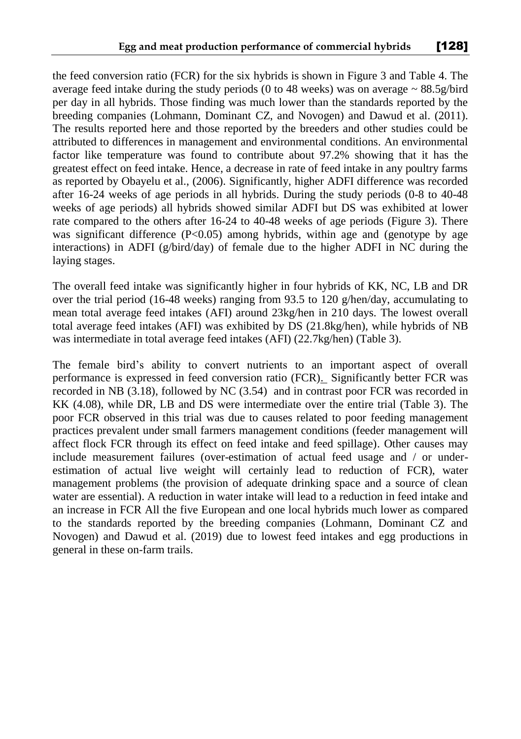the feed conversion ratio (FCR) for the six hybrids is shown in Figure 3 and Table 4. The average feed intake during the study periods (0 to 48 weeks) was on average  $\sim 88.5$  g/bird per day in all hybrids. Those finding was much lower than the standards reported by the breeding companies (Lohmann, Dominant CZ, and Novogen) and Dawud et al. (2011). The results reported here and those reported by the breeders and other studies could be attributed to differences in management and environmental conditions. An environmental factor like temperature was found to contribute about 97.2% showing that it has the greatest effect on feed intake. Hence, a decrease in rate of feed intake in any poultry farms as reported by Obayelu et al., (2006). Significantly, higher ADFI difference was recorded after 16-24 weeks of age periods in all hybrids. During the study periods (0-8 to 40-48 weeks of age periods) all hybrids showed similar ADFI but DS was exhibited at lower rate compared to the others after 16-24 to 40-48 weeks of age periods (Figure 3). There was significant difference  $(P<0.05)$  among hybrids, within age and (genotype by age interactions) in ADFI (g/bird/day) of female due to the higher ADFI in NC during the laying stages.

The overall feed intake was significantly higher in four hybrids of KK, NC, LB and DR over the trial period (16-48 weeks) ranging from 93.5 to 120 g/hen/day, accumulating to mean total average feed intakes (AFI) around 23kg/hen in 210 days. The lowest overall total average feed intakes (AFI) was exhibited by DS (21.8kg/hen), while hybrids of NB was intermediate in total average feed intakes (AFI) (22.7kg/hen) (Table 3).

The female bird's ability to convert nutrients to an important aspect of overall performance is expressed in feed conversion ratio (FCR). Significantly better FCR was recorded in NB (3.18), followed by NC (3.54) and in contrast poor FCR was recorded in KK (4.08), while DR, LB and DS were intermediate over the entire trial (Table 3). The poor FCR observed in this trial was due to causes related to poor feeding management practices prevalent under small farmers management conditions (feeder management will affect flock FCR through its effect on feed intake and feed spillage). Other causes may include measurement failures (over-estimation of actual feed usage and / or underestimation of actual live weight will certainly lead to reduction of FCR), water management problems (the provision of adequate drinking space and a source of clean water are essential). A reduction in water intake will lead to a reduction in feed intake and an increase in FCR All the five European and one local hybrids much lower as compared to the standards reported by the breeding companies (Lohmann, Dominant CZ and Novogen) and Dawud et al. (2019) due to lowest feed intakes and egg productions in general in these on-farm trails.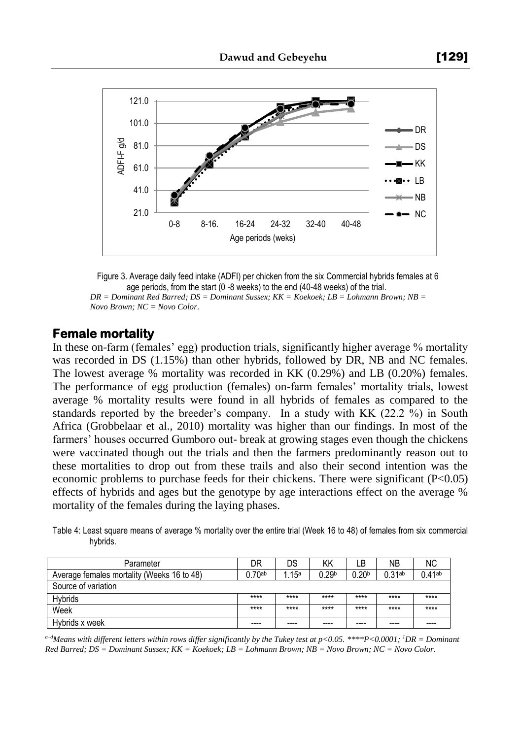

Figure 3. Average daily feed intake (ADFI) per chicken from the six Commercial hybrids females at 6 age periods, from the start (0 -8 weeks) to the end (40-48 weeks) of the trial. *DR = Dominant Red Barred; DS = Dominant Sussex; KK = Koekoek; LB = Lohmann Brown; NB = Novo Brown; NC = Novo Color*.

#### **Female mortality**

In these on-farm (females' egg) production trials, significantly higher average % mortality was recorded in DS (1.15%) than other hybrids, followed by DR, NB and NC females. The lowest average % mortality was recorded in KK (0.29%) and LB (0.20%) females. The performance of egg production (females) on-farm females' mortality trials, lowest average % mortality results were found in all hybrids of females as compared to the standards reported by the breeder's company. In a study with KK (22.2 %) in South Africa (Grobbelaar et al., 2010) mortality was higher than our findings. In most of the farmers' houses occurred Gumboro out- break at growing stages even though the chickens were vaccinated though out the trials and then the farmers predominantly reason out to these mortalities to drop out from these trails and also their second intention was the economic problems to purchase feeds for their chickens. There were significant (P<0.05) effects of hybrids and ages but the genotype by age interactions effect on the average % mortality of the females during the laying phases.

Table 4: Least square means of average % mortality over the entire trial (Week 16 to 48) of females from six commercial hybrids.

| Parameter                                  | DR                   | DS     | ΚK                | LΒ                | <b>NB</b>          | ΝC        |
|--------------------------------------------|----------------------|--------|-------------------|-------------------|--------------------|-----------|
| Average females mortality (Weeks 16 to 48) | $0.70$ <sup>ab</sup> | . .15ª | 0.29 <sup>b</sup> | 0.20 <sup>b</sup> | 0.31 <sub>ab</sub> | $0.41$ ab |
| Source of variation                        |                      |        |                   |                   |                    |           |
| <b>Hybrids</b>                             | $***$                | ****   | ****              | $***$             | $***$              | $***$     |
| Week                                       | $***$                | $***$  | $***$             | ****              | ****               | $***$     |
| Hybrids x week                             | $- - - -$            | ----   | ----              | ----              | ----               |           |

*a–dMeans with different letters within rows differ significantly by the Tukey test at p<0.05. \*\*\*\*P<0.0001; <sup>1</sup>DR = Dominant Red Barred; DS = Dominant Sussex; KK = Koekoek; LB = Lohmann Brown; NB = Novo Brown; NC = Novo Color.*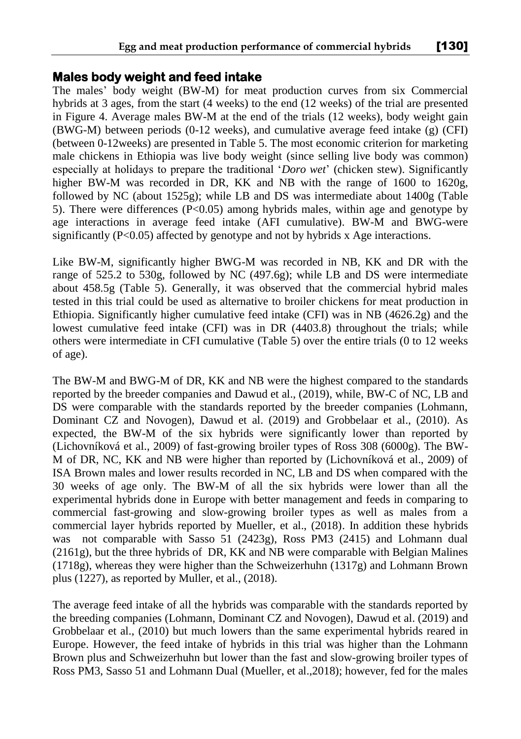#### **Males body weight and feed intake**

The males' body weight (BW-M) for meat production curves from six Commercial hybrids at 3 ages, from the start (4 weeks) to the end (12 weeks) of the trial are presented in Figure 4. Average males BW-M at the end of the trials (12 weeks), body weight gain (BWG-M) between periods (0-12 weeks), and cumulative average feed intake (g) (CFI) (between 0-12weeks) are presented in Table 5. The most economic criterion for marketing male chickens in Ethiopia was live body weight (since selling live body was common) especially at holidays to prepare the traditional '*Doro wet*' (chicken stew). Significantly higher BW-M was recorded in DR, KK and NB with the range of 1600 to 1620g, followed by NC (about 1525g); while LB and DS was intermediate about 1400g (Table 5). There were differences (P<0.05) among hybrids males, within age and genotype by age interactions in average feed intake (AFI cumulative). BW-M and BWG-were significantly (P<0.05) affected by genotype and not by hybrids x Age interactions.

Like BW-M, significantly higher BWG-M was recorded in NB, KK and DR with the range of 525.2 to 530g, followed by NC (497.6g); while LB and DS were intermediate about 458.5g (Table 5). Generally, it was observed that the commercial hybrid males tested in this trial could be used as alternative to broiler chickens for meat production in Ethiopia. Significantly higher cumulative feed intake (CFI) was in NB (4626.2g) and the lowest cumulative feed intake (CFI) was in DR (4403.8) throughout the trials; while others were intermediate in CFI cumulative (Table 5) over the entire trials (0 to 12 weeks of age).

The BW-M and BWG-M of DR, KK and NB were the highest compared to the standards reported by the breeder companies and Dawud et al., (2019), while, BW-C of NC, LB and DS were comparable with the standards reported by the breeder companies (Lohmann, Dominant CZ and Novogen), Dawud et al. (2019) and Grobbelaar et al., (2010). As expected, the BW-M of the six hybrids were significantly lower than reported by (Lichovníková et al., 2009) of fast-growing broiler types of Ross 308 (6000g). The BW-M of DR, NC, KK and NB were higher than reported by (Lichovníková et al., 2009) of ISA Brown males and lower results recorded in NC, LB and DS when compared with the 30 weeks of age only. The BW-M of all the six hybrids were lower than all the experimental hybrids done in Europe with better management and feeds in comparing to commercial fast-growing and slow-growing broiler types as well as males from a commercial layer hybrids reported by Mueller, et al., (2018). In addition these hybrids was not comparable with Sasso 51 (2423g), Ross PM3 (2415) and Lohmann dual (2161g), but the three hybrids of DR, KK and NB were comparable with Belgian Malines (1718g), whereas they were higher than the Schweizerhuhn (1317g) and Lohmann Brown plus (1227), as reported by Muller, et al., (2018).

The average feed intake of all the hybrids was comparable with the standards reported by the breeding companies (Lohmann, Dominant CZ and Novogen), Dawud et al. (2019) and Grobbelaar et al., (2010) but much lowers than the same experimental hybrids reared in Europe. However, the feed intake of hybrids in this trial was higher than the Lohmann Brown plus and Schweizerhuhn but lower than the fast and slow-growing broiler types of Ross PM3, Sasso 51 and Lohmann Dual (Mueller, et al.,2018); however, fed for the males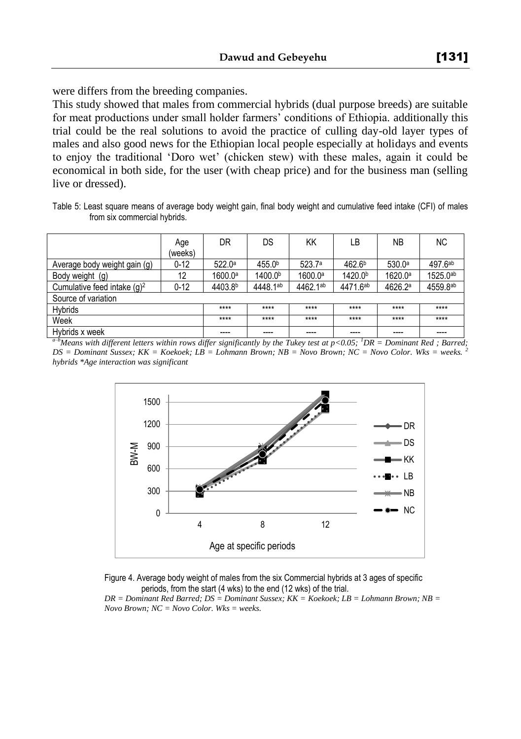were differs from the breeding companies.

This study showed that males from commercial hybrids (dual purpose breeds) are suitable for meat productions under small holder farmers' conditions of Ethiopia. additionally this trial could be the real solutions to avoid the practice of culling day-old layer types of males and also good news for the Ethiopian local people especially at holidays and events to enjoy the traditional 'Doro wet' (chicken stew) with these males, again it could be economical in both side, for the user (with cheap price) and for the business man (selling live or dressed).

Table 5: Least square means of average body weight gain, final body weight and cumulative feed intake (CFI) of males from six commercial hybrids.

|                                | Age      | DR                  | DS                  | KK                  | LВ                  | <b>NB</b>          | <b>NC</b> |
|--------------------------------|----------|---------------------|---------------------|---------------------|---------------------|--------------------|-----------|
|                                | (weeks)  |                     |                     |                     |                     |                    |           |
| Average body weight gain (g)   | $0 - 12$ | 522.0a              | 455.0b              | 523.7a              | 462.6 <sup>b</sup>  | 530.0 <sup>a</sup> | 497.6ab   |
| Body weight (g)                | 12       | 1600.0 <sup>a</sup> | 1400.0 <sup>b</sup> | 1600.0 <sup>a</sup> | 1420.0 <sup>b</sup> | 1620.0a            | 1525.0ab  |
| Cumulative feed intake $(q)^2$ | $0 - 12$ | 4403.8b             | 4448.1ab            | 4462.1ab            | 4471.6ab            | 4626.2ª            | 4559.8ab  |
| Source of variation            |          |                     |                     |                     |                     |                    |           |
| <b>H</b> vbrids                |          | ****                | ****                | $****$              | ****                | $***$              | $****$    |
| Week                           |          | ****                | ****                | $****$              | ****                | $****$             | $****$    |
| Hybrids x week                 |          | ----                | ----                | ----                | ----                | ----               |           |

*a–bMeans with different letters within rows differ significantly by the Tukey test at p<0.05; <sup>1</sup>DR = Dominant Red ; Barred; DS = Dominant Sussex; KK = Koekoek; LB = Lohmann Brown; NB = Novo Brown; NC = Novo Color. Wks = weeks. <sup>2</sup> hybrids \*Age interaction was significant*



Figure 4. Average body weight of males from the six Commercial hybrids at 3 ages of specific periods, from the start (4 wks) to the end (12 wks) of the trial.

*DR = Dominant Red Barred; DS = Dominant Sussex; KK = Koekoek; LB = Lohmann Brown; NB = Novo Brown; NC = Novo Color. Wks = weeks.*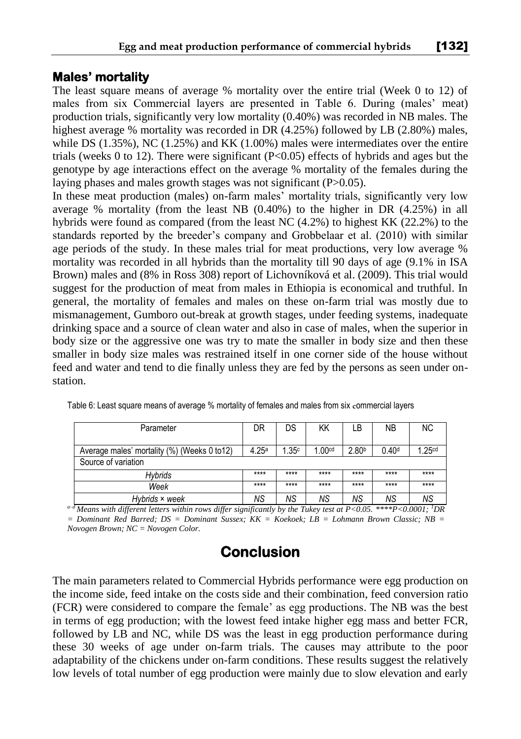#### **Males' mortality**

The least square means of average % mortality over the entire trial (Week 0 to 12) of males from six Commercial layers are presented in Table 6. During (males' meat) production trials, significantly very low mortality (0.40%) was recorded in NB males. The highest average % mortality was recorded in DR (4.25%) followed by LB (2.80%) males, while DS (1.35%), NC (1.25%) and KK (1.00%) males were intermediates over the entire trials (weeks 0 to 12). There were significant  $(P<0.05)$  effects of hybrids and ages but the genotype by age interactions effect on the average % mortality of the females during the laying phases and males growth stages was not significant (P>0.05).

In these meat production (males) on-farm males' mortality trials, significantly very low average % mortality (from the least NB (0.40%) to the higher in DR (4.25%) in all hybrids were found as compared (from the least NC (4.2%) to highest KK (22.2%) to the standards reported by the breeder's company and Grobbelaar et al. (2010) with similar age periods of the study. In these males trial for meat productions, very low average % mortality was recorded in all hybrids than the mortality till 90 days of age (9.1% in ISA Brown) males and (8% in Ross 308) report of Lichovníková et al. (2009). This trial would suggest for the production of meat from males in Ethiopia is economical and truthful. In general, the mortality of females and males on these on-farm trial was mostly due to mismanagement, Gumboro out-break at growth stages, under feeding systems, inadequate drinking space and a source of clean water and also in case of males, when the superior in body size or the aggressive one was try to mate the smaller in body size and then these smaller in body size males was restrained itself in one corner side of the house without feed and water and tend to die finally unless they are fed by the persons as seen under onstation.

| Parameter                                    | DR                | DS    | ΚK                   | LB                | NΒ                | <b>NC</b>         |
|----------------------------------------------|-------------------|-------|----------------------|-------------------|-------------------|-------------------|
| Average males' mortality (%) (Weeks 0 to 12) | 4.25 <sup>a</sup> | .35c  | $1.00$ <sup>cd</sup> | 2.80 <sup>b</sup> | 0.40 <sup>d</sup> | .25 <sup>cd</sup> |
| Source of variation                          |                   |       |                      |                   |                   |                   |
| Hvbrids                                      | $***$             | $***$ | $***$                | $***$             | $***$             | $***$             |
| Week                                         | $***$             | $***$ | $***$                | $***$             | $***$             | $***$             |
| Hybrids × week                               | ΝS                | NS.   | ΝS                   | ΝS                | ΝS                | ΝS                |

| Table 6: Least square means of average % mortality of females and males from six commercial layers |  |  |
|----------------------------------------------------------------------------------------------------|--|--|
|                                                                                                    |  |  |

*a–d Means with different letters within rows differ significantly by the Tukey test at P<0.05. \*\*\*\*P<0.0001; <sup>1</sup>DR = Dominant Red Barred; DS = Dominant Sussex; KK = Koekoek; LB = Lohmann Brown Classic; NB = Novogen Brown; NC = Novogen Color.* 

# **Conclusion**

The main parameters related to Commercial Hybrids performance were egg production on the income side, feed intake on the costs side and their combination, feed conversion ratio (FCR) were considered to compare the female' as egg productions. The NB was the best in terms of egg production; with the lowest feed intake higher egg mass and better FCR, followed by LB and NC, while DS was the least in egg production performance during these 30 weeks of age under on-farm trials. The causes may attribute to the poor adaptability of the chickens under on-farm conditions. These results suggest the relatively low levels of total number of egg production were mainly due to slow elevation and early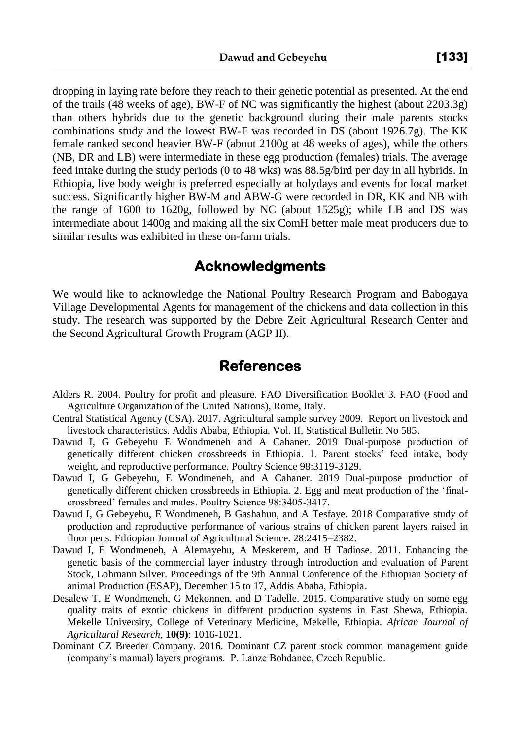dropping in laying rate before they reach to their genetic potential as presented. At the end of the trails (48 weeks of age), BW-F of NC was significantly the highest (about 2203.3g) than others hybrids due to the genetic background during their male parents stocks combinations study and the lowest BW-F was recorded in DS (about 1926.7g). The KK female ranked second heavier BW-F (about 2100g at 48 weeks of ages), while the others (NB, DR and LB) were intermediate in these egg production (females) trials. The average feed intake during the study periods (0 to 48 wks) was 88.5g/bird per day in all hybrids. In Ethiopia, live body weight is preferred especially at holydays and events for local market success. Significantly higher BW-M and ABW-G were recorded in DR, KK and NB with the range of 1600 to 1620g, followed by NC (about 1525g); while LB and DS was intermediate about 1400g and making all the six ComH better male meat producers due to similar results was exhibited in these on-farm trials.

# **Acknowledgments**

We would like to acknowledge the National Poultry Research Program and Babogaya Village Developmental Agents for management of the chickens and data collection in this study. The research was supported by the Debre Zeit Agricultural Research Center and the Second Agricultural Growth Program (AGP II).

### **References**

- Alders R. 2004. Poultry for profit and pleasure. FAO Diversification Booklet 3. FAO (Food and Agriculture Organization of the United Nations), Rome, Italy.
- Central Statistical Agency (CSA). 2017. Agricultural sample survey 2009. Report on livestock and livestock characteristics. Addis Ababa, Ethiopia. Vol. II, Statistical Bulletin No 585.
- Dawud I, G Gebeyehu E Wondmeneh and A Cahaner. 2019 Dual-purpose production of genetically different chicken crossbreeds in Ethiopia. 1. Parent stocks' feed intake, body weight, and reproductive performance. Poultry Science 98:3119-3129.
- Dawud I, G Gebeyehu, E Wondmeneh, and A Cahaner. 2019 Dual-purpose production of genetically different chicken crossbreeds in Ethiopia. 2. Egg and meat production of the 'finalcrossbreed' females and males. Poultry Science 98:3405-3417.
- Dawud I, G Gebeyehu, E Wondmeneh, B Gashahun, and A Tesfaye. 2018 Comparative study of production and reproductive performance of various strains of chicken parent layers raised in floor pens. Ethiopian Journal of Agricultural Science. 28:2415–2382.
- Dawud I, E Wondmeneh, A Alemayehu, A Meskerem, and H Tadiose. 2011. Enhancing the genetic basis of the commercial layer industry through introduction and evaluation of Parent Stock, Lohmann Silver. Proceedings of the 9th Annual Conference of the Ethiopian Society of animal Production (ESAP), December 15 to 17, Addis Ababa, Ethiopia.
- Desalew T, E Wondmeneh, G Mekonnen, and D Tadelle. 2015. Comparative study on some egg quality traits of exotic chickens in different production systems in East Shewa, Ethiopia. Mekelle University, College of Veterinary Medicine, Mekelle, Ethiopia. *African Journal of Agricultural Research,* **10(9)**: 1016-1021.
- Dominant CZ Breeder Company. 2016. Dominant CZ parent stock common management guide (company's manual) layers programs. P. Lanze Bohdanec, Czech Republic.